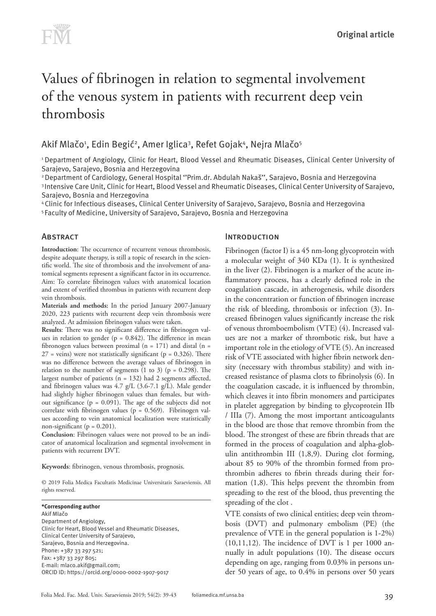# Values of fibrinogen in relation to segmental involvement of the venous system in patients with recurrent deep vein thrombosis

# Akif Mlačo1, Edin Begić2, Amer Iglica3, Refet Gojak4, Nejra Mlačo5

1 Department of Angiology, Clinic for Heart, Blood Vessel and Rheumatic Diseases, Clinical Center University of Sarajevo, Sarajevo, Bosnia and Herzegovina

2 Department of Cardiology, General Hospital ''Prim.dr. Abdulah Nakaš'', Sarajevo, Bosnia and Herzegovina

3 Intensive Care Unit, Clinic for Heart, Blood Vessel and Rheumatic Diseases, Clinical Center University of Sarajevo, Sarajevo, Bosnia and Herzegovina

4 Clinic for Infectious diseases, Clinical Center University of Sarajevo, Sarajevo, Bosnia and Herzegovina 5 Faculty of Medicine, University of Sarajevo, Sarajevo, Bosnia and Herzegovina

## **ABSTRACT**

**Introduction**: The occurrence of recurrent venous thrombosis, despite adequate therapy, is still a topic of research in the scientific world. The site of thrombosis and the involvement of anatomical segments represent a significant factor in its occurrence. Aim: To correlate fibrinogen values with anatomical location and extent of verified thrombus in patients with recurrent deep vein thrombosis.

**Materials and methods:** In the period January 2007-January 2020, 223 patients with recurrent deep vein thrombosis were analyzed. At admission fibrinogen values were taken.

**Results**: There was no significant difference in fibrinogen values in relation to gender ( $p = 0.842$ ). The difference in mean fibronogen values between proximal  $(n = 171)$  and distal  $(n = 171)$  $27$  = veins) were not statistically significant ( $p = 0.326$ ). There was no difference between the average values of fibrinogen in relation to the number of segments  $(1 \text{ to } 3)$   $(p = 0.298)$ . The largest number of patients (n = 132) had 2 segments affected, and fibrinogen values was 4.7 g/L (3.6-7.1 g/L). Male gender had slightly higher fibrinogen values than females, but without significance (p = 0.091). The age of the subjects did not correlate with fibrinogen values (p = 0.569). Fibrinogen values according to vein anatomical localization were statistically non-significant ( $p = 0.201$ ).

**Conclusion**: Fibrinogen values were not proved to be an indicator of anatomical localization and segmental involvement in patients with recurrent DVT.

**Keywords**: fibrinogen, venous thrombosis, prognosis.

© 2019 Folia Medica Facultatis Medicinae Universitatis Saraeviensis. All rights reserved.

**\*Corresponding author** Akif Mlačo Department of Angiology, Clinic for Heart, Blood Vessel and Rheumatic Diseases, Clinical Center University of Sarajevo, Sarajevo, Bosnia and Herzegovina. Phone: +387 33 297 521; Fax: +387 33 297 805; E-mail: [mlaco.akif@gmail.com](mailto:mlaco.akif@gmail.com); ORCID ID: https://orcid.org/0000-0002-1907-9017

#### **INTRODUCTION**

Fibrinogen (factor I) is a 45 nm-long glycoprotein with a molecular weight of 340 KDa (1). It is synthesized in the liver (2). Fibrinogen is a marker of the acute inflammatory process, has a clearly defined role in the coagulation cascade, in atherogenesis, while disorders in the concentration or function of fibrinogen increase the risk of bleeding, thrombosis or infection (3). Increased fibrinogen values significantly increase the risk of venous thromboembolism (VTE) (4). Increased values are not a marker of thrombotic risk, but have a important role in the etiology of VTE (5). An increased risk of VTE associated with higher fibrin network density (necessary with thrombus stability) and with increased resistance of plasma clots to fibrinolysis (6). In the coagulation cascade, it is influenced by thrombin, which cleaves it into fibrin monomers and participates in platelet aggregation by binding to glycoprotein IIb / IIIa (7). Among the most important anticoagulants in the blood are those that remove thrombin from the blood. The strongest of these are fibrin threads that are formed in the process of coagulation and alpha-globulin antithrombin III (1,8,9). During clot forming, about 85 to 90% of the thrombin formed from prothrombin adheres to fibrin threads during their formation (1,8). This helps prevent the thrombin from spreading to the rest of the blood, thus preventing the spreading of the clot .

VTE consists of two clinical entities; deep vein thrombosis (DVT) and pulmonary embolism (PE) (the prevalence of VTE in the general population is 1-2%)  $(10,11,12)$ . The incidence of DVT is 1 per 1000 annually in adult populations (10). The disease occurs depending on age, ranging from 0.03% in persons under 50 years of age, to 0.4% in persons over 50 years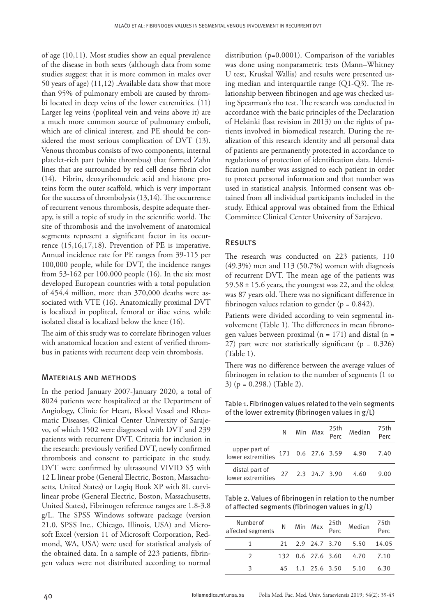of age (10,11). Most studies show an equal prevalence of the disease in both sexes (although data from some studies suggest that it is more common in males over 50 years of age) (11,12) .Available data show that more than 95% of pulmonary emboli are caused by thrombi located in deep veins of the lower extremities. (11) Larger leg veins (popliteal vein and veins above it) are a much more common source of pulmonary emboli, which are of clinical interest, and PE should be considered the most serious complication of DVT (13). Venous thrombus consists of two components, internal platelet-rich part (white thrombus) that formed Zahn lines that are surrounded by red cell dense fibrin clot (14). Fibrin, deoxyribonucleic acid and histone proteins form the outer scaffold, which is very important for the success of thrombolysis (13,14). The occurrence of recurrent venous thrombosis, despite adequate therapy, is still a topic of study in the scientific world. The site of thrombosis and the involvement of anatomical segments represent a significant factor in its occurrence (15,16,17,18). Prevention of PE is imperative. Annual incidence rate for PE ranges from 39-115 per 100,000 people, while for DVT, the incidence ranges from 53-162 per 100,000 people (16). In the six most developed European countries with a total population of 454.4 million, more than 370,000 deaths were associated with VTE (16). Anatomically proximal DVT is localized in popliteal, femoral or iliac veins, while isolated distal is localized below the knee (16).

The aim of this study was to correlate fibrinogen values with anatomical location and extent of verified thrombus in patients with recurrent deep vein thrombosis.

#### Materials and methods

In the period January 2007-January 2020, a total of 8024 patients were hospitalized at the Department of Angiology, Clinic for Heart, Blood Vessel and Rheumatic Diseases, Clinical Center University of Sarajevo, of which 1502 were diagnosed with DVT and 239 patients with recurrent DVT. Criteria for inclusion in the research: previously verified DVT, newly confirmed thrombosis and consent to participate in the study. DVT were confirmed by ultrasound VIVID S5 with 12 L linear probe (General Electric, Boston, Massachusetts, United States) or Logiq Book XP with 8L curvilinear probe (General Electric, Boston, Massachusetts, United States), Fibrinogen reference ranges are 1.8-3.8 g/L. The SPSS Windows software package (version 21.0, SPSS Inc., Chicago, Illinois, USA) and Microsoft Excel (version 11 of Microsoft Corporation, Redmond, WA, USA) were used for statistical analysis of the obtained data. In a sample of 223 patients, fibringen values were not distributed according to normal

distribution (p=0.0001). Comparison of the variables was done using nonparametric tests (Mann–Whitney U test, Kruskal Wallis) and results were presented using median and interquartile range (Q1-Q3). The relationship between fibrinogen and age was checked using Spearman's rho test. The research was conducted in accordance with the basic principles of the Declaration of Helsinki (last revision in 2013) on the rights of patients involved in biomedical research. During the realization of this research identity and all personal data of patients are permanently protected in accordance to regulations of protection of identification data. Identification number was assigned to each patient in order to protect personal information and that number was used in statistical analysis. Informed consent was obtained from all individual participants included in the study. Ethical approval was obtained from the Ethical Committee Clinical Center University of Sarajevo.

## **RESULTS**

The research was conducted on 223 patients, 110 (49.3%) men and 113 (50.7%) women with diagnosis of recurrent DVT. The mean age of the patients was  $59.58 \pm 15.6$  years, the youngest was 22, and the oldest was 87 years old. There was no significant difference in fibrinogen values relation to gender ( $p = 0.842$ ).

Patients were divided according to vein segmental involvement (Table 1). The differences in mean fibronogen values between proximal ( $n = 171$ ) and distal ( $n =$ 27) part were not statistically significant ( $p = 0.326$ ) (Table 1).

There was no difference between the average values of fibrinogen in relation to the number of segments (1 to 3) (p = 0.298.) (Table 2).

Table 1. Fibrinogen values related to the vein segments of the lower extremity (fibrinogen values in g/L)

|                                     |  |                  | N Min Max 25th Median      | 75th<br>Perc |
|-------------------------------------|--|------------------|----------------------------|--------------|
| upper part of<br>lower extremities  |  |                  | 171  0.6  27.6  3.59  4.90 | 7.40         |
| distal part of<br>lower extremities |  | 27 2.3 24.7 3.90 | 4.60                       | 9.00         |

Table 2. Values of fibrinogen in relation to the number of affected segments (fibrinogen values in g/L)

| Number of<br>affected segments |  |                  | N Min Max 25th Median  | 75th<br>Perc |
|--------------------------------|--|------------------|------------------------|--------------|
|                                |  |                  | 21 2.9 24.7 3.70 5.50  | 14.05        |
|                                |  |                  | 132 0.6 27.6 3.60 4.70 | 7.10         |
|                                |  | 45 1.1 25.6 3.50 | 5.10                   | 6.30         |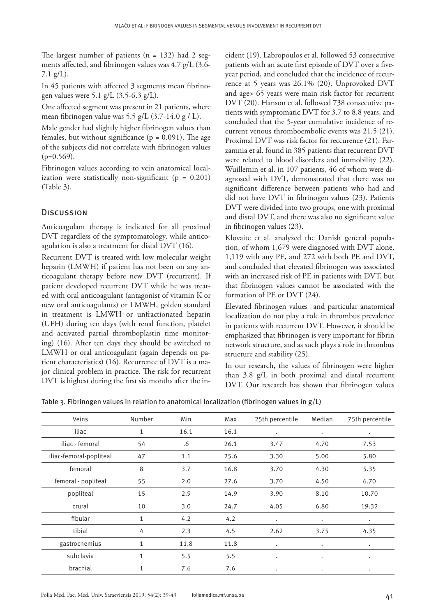The largest number of patients  $(n = 132)$  had 2 segments affected, and fibrinogen values was 4.7 g/L (3.6- 7.1 g/L).

In 45 patients with affected 3 segments mean fibrinogen values were 5.1 g/L (3.5-6.3 g/L).

One affected segment was present in 21 patients, where mean fibrinogen value was 5.5 g/L  $(3.7-14.0 \text{ g} / \text{L})$ .

Male gender had slightly higher fibrinogen values than females, but without significance ( $p = 0.091$ ). The age of the subjects did not correlate with fibrinogen values  $(p=0.569)$ .

Fibrinogen values according to vein anatomical localization were statistically non-significant ( $p = 0.201$ ) (Table 3).

#### **DISCUSSION**

Anticoagulant therapy is indicated for all proximal DVT regardless of the symptomatology, while anticoagulation is also a treatment for distal DVT (16).

Recurrent DVT is treated with low molecular weight heparin (LMWH) if patient has not been on any anticoagulant therapy before new DVT (recurrent). If patient developed recurrent DVT while he was treated with oral anticoagulant (antagonist of vitamin K or new oral anticoagulants) or LMWH, golden standard in treatment is LMWH or unfractionated heparin (UFH) during ten days (with renal function, platelet and activated partial thromboplastin time monitoring) (16). After ten days they should be switched to LMWH or oral anticoagulant (again depends on patient characteristics) (16). Recurrence of DVT is a major clinical problem in practice. The risk for recurrent DVT is highest during the first six months after the incident (19). Labropoulos et al. followed 53 consecutive patients with an acute first episode of DVT over a fiveyear period, and concluded that the incidence of recurrence at 5 years was 26.1% (20). Unprovoked DVT and age> 65 years were main risk factor for recurrent DVT (20). Hanson et al. followed 738 consecutive patients with symptomatic DVT for 3.7 to 8.8 years, and concluded that the 5-year cumulative incidence of recurrent venous thromboembolic events was 21.5 (21). Proximal DVT was risk factor for reccurence (21). Farzamnia et al. found in 385 patients that recurrent DVT were related to blood disorders and immobility (22). Wuillemin et al. in 107 patients, 46 of whom were diagnosed with DVT, demonstrated that there was no significant difference between patients who had and did not have DVT in fibrinogen values (23). Patients DVT were divided into two groups, one with proximal and distal DVT, and there was also no significant value in fibrinogen values (23).

Klovaite et al. analyzed the Danish general population, of whom 1,679 were diagnosed with DVT alone, 1,119 with any PE, and 272 with both PE and DVT, and concluded that elevated fibrinogen was associated with an increased risk of PE in patients with DVT, but that fibrinogen values cannot be associated with the formation of PE or DVT (24).

Elevated fibrinogen values and particular anatomical localization do not play a role in thrombus prevalence in patients with recurrent DVT. However, it should be emphasized that fibrinogen is very important for fibrin network structure, and as such plays a role in thrombus structure and stability (25).

In our research, the values of fibrinogen were higher than 3.8 g/L in both proximal and distal recurrent DVT. Our research has shown that fibrinogen values

Table 3. Fibrinogen values in relation to anatomical localization (fibrinogen values in g/L)

| Veins                   | Number       | Min  | Max  | 25th percentile | Median    | 75th percentile |
|-------------------------|--------------|------|------|-----------------|-----------|-----------------|
| iliac                   | 1            | 16.1 | 16.1 | $\bullet$       | $\bullet$ | $\bullet$       |
| iliac - femoral         | 54           | .6   | 26.1 | 3.47            | 4.70      | 7.53            |
| iliac-femoral-popliteal | 47           | 1.1  | 25.6 | 3.30            | 5.00      | 5.80            |
| femoral                 | 8            | 3.7  | 16.8 | 3.70            | 4.30      | 5.35            |
| femoral - popliteal     | 55           | 2.0  | 27.6 | 3.70            | 4.50      | 6.70            |
| popliteal               | 15           | 2.9  | 14.9 | 3.90            | 8.10      | 10.70           |
| crural                  | 10           | 3.0  | 24.7 | 4.05            | 6.80      | 19.32           |
| fibular                 | $\mathbf{1}$ | 4.2  | 4.2  | $\bullet$       | $\bullet$ | $\bullet$       |
| tibial                  | 4            | 2.3  | 4.5  | 2.62            | 3.75      | 4.35            |
| gastrocnemius           | 1            | 11.8 | 11.8 | $\bullet$       | $\bullet$ | $\bullet$       |
| subclavia               | $\mathbf{1}$ | 5.5  | 5.5  | $\bullet$       | $\bullet$ | $\bullet$       |
| brachial                | 1            | 7.6  | 7.6  | ٠               | $\bullet$ | ٠               |
|                         |              |      |      |                 |           |                 |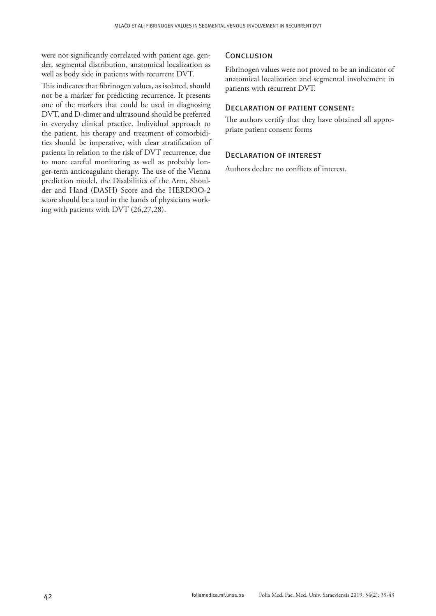were not significantly correlated with patient age, gender, segmental distribution, anatomical localization as well as body side in patients with recurrent DVT.

This indicates that fibrinogen values, as isolated, should not be a marker for predicting recurrence. It presents one of the markers that could be used in diagnosing DVT, and D-dimer and ultrasound should be preferred in everyday clinical practice. Individual approach to the patient, his therapy and treatment of comorbidities should be imperative, with clear stratification of patients in relation to the risk of DVT recurrence, due to more careful monitoring as well as probably longer-term anticoagulant therapy. The use of the Vienna prediction model, the Disabilities of the Arm, Shoulder and Hand (DASH) Score and the HERDOO-2 score should be a tool in the hands of physicians working with patients with DVT (26,27,28).

#### **CONCLUSION**

Fibrinogen values were not proved to be an indicator of anatomical localization and segmental involvement in patients with recurrent DVT.

# Declaration of patient consent:

The authors certify that they have obtained all appropriate patient consent forms

## Declaration of interest

Authors declare no conflicts of interest.